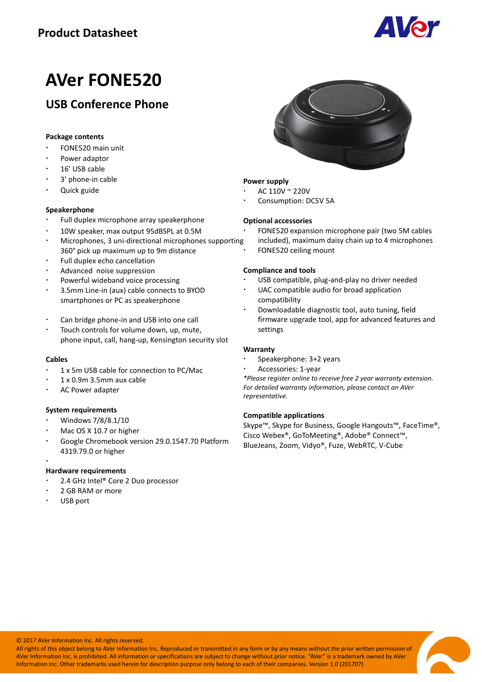

# **AVer FONE520**

# **USB Conference Phone**

## **Package contents**

- FONE520 main unit
- Power adaptor
- 16' USB cable
- 3' phone-in cable
- Quick guide

# **Speakerphone**

- Full duplex microphone array speakerphone
- 10W speaker, max output 95dBSPL at 0.5M
- Microphones, 3 uni-directional microphones supporting 360° pick up maximum up to 9m distance
- Full duplex echo cancellation
- Advanced noise suppression
- Powerful wideband voice processing
- 3.5mm Line-in (aux) cable connects to BYOD smartphones or PC as speakerphone
- Can bridge phone-in and USB into one call
- Touch controls for volume down, up, mute, phone input, call, hang-up, Kensington security slot

#### **Cables**

- 1 x 5m USB cable for connection to PC/Mac
- 1 x 0.9m 3.5mm aux cable
- AC Power adapter

## **System requirements**

- Windows 7/8/8.1/10
- Mac OS X 10.7 or higher
- Google Chromebook version 29.0.1547.70 Platform 4319.79.0 or higher

## **Hardware requirements**

- 2.4 GHz Intel® Core 2 Duo processor
- 2 GB RAM or more
- USB port

j



## **Power supply**

- AC 110V ~ 220V
- Consumption: DC5V 5A

#### **Optional accessories**

- FONE520 expansion microphone pair (two 5M cables
- included), maximum daisy chain up to 4 microphones
- FONE520 ceiling mount

#### **Compliance and tools**

- USB compatible, plug-and-play no driver needed
- UAC compatible audio for broad application compatibility
- Downloadable diagnostic tool, auto tuning, field firmware upgrade tool, app for advanced features and settings

## **Warranty**

- Speakerphone: 3+2 years
- Accessories: 1-year

*\*Please register online to receive free 2 year warranty extension. For detailed warranty information, please contact an AVer representative.*

#### **Compatible applications**

Skype™, Skype for Business, Google Hangouts™, FaceTime®, Cisco Webex®, GoToMeeting®, Adobe® Connect™, BlueJeans, Zoom, Vidyo®, Fuze, WebRTC, V-Cube

© 2017 AVer Information Inc. All rights reserved.

All rights of this object belong to AVer Information Inc. Reproduced or transmitted in any form or by any means without the prior written permission of AVer Information Inc. is prohibited. All information or specifications are subject to change without prior notice. "AVer" is a trademark owned by AVer Information Inc. Other trademarks used herein for description purpose only belong to each of their companies. Version 1.0 (201707)